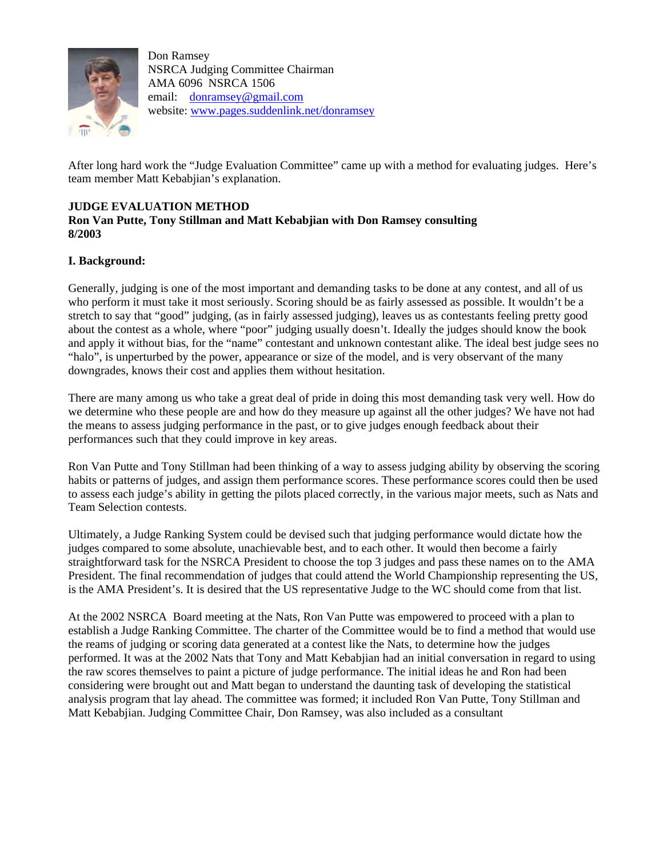

Don Ramsey NSRCA Judging Committee Chairman AMA 6096 NSRCA 1506 email: donramsey@gmail.com website: www.pages.suddenlink.net/donramsey

After long hard work the "Judge Evaluation Committee" came up with a method for evaluating judges. Here's team member Matt Kebabjian's explanation.

## **JUDGE EVALUATION METHOD**

# **Ron Van Putte, Tony Stillman and Matt Kebabjian with Don Ramsey consulting 8/2003**

### **I. Background:**

Generally, judging is one of the most important and demanding tasks to be done at any contest, and all of us who perform it must take it most seriously. Scoring should be as fairly assessed as possible. It wouldn't be a stretch to say that "good" judging, (as in fairly assessed judging), leaves us as contestants feeling pretty good about the contest as a whole, where "poor" judging usually doesn't. Ideally the judges should know the book and apply it without bias, for the "name" contestant and unknown contestant alike. The ideal best judge sees no "halo", is unperturbed by the power, appearance or size of the model, and is very observant of the many downgrades, knows their cost and applies them without hesitation.

There are many among us who take a great deal of pride in doing this most demanding task very well. How do we determine who these people are and how do they measure up against all the other judges? We have not had the means to assess judging performance in the past, or to give judges enough feedback about their performances such that they could improve in key areas.

Ron Van Putte and Tony Stillman had been thinking of a way to assess judging ability by observing the scoring habits or patterns of judges, and assign them performance scores. These performance scores could then be used to assess each judge's ability in getting the pilots placed correctly, in the various major meets, such as Nats and Team Selection contests.

Ultimately, a Judge Ranking System could be devised such that judging performance would dictate how the judges compared to some absolute, unachievable best, and to each other. It would then become a fairly straightforward task for the NSRCA President to choose the top 3 judges and pass these names on to the AMA President. The final recommendation of judges that could attend the World Championship representing the US, is the AMA President's. It is desired that the US representative Judge to the WC should come from that list.

At the 2002 NSRCA Board meeting at the Nats, Ron Van Putte was empowered to proceed with a plan to establish a Judge Ranking Committee. The charter of the Committee would be to find a method that would use the reams of judging or scoring data generated at a contest like the Nats, to determine how the judges performed. It was at the 2002 Nats that Tony and Matt Kebabjian had an initial conversation in regard to using the raw scores themselves to paint a picture of judge performance. The initial ideas he and Ron had been considering were brought out and Matt began to understand the daunting task of developing the statistical analysis program that lay ahead. The committee was formed; it included Ron Van Putte, Tony Stillman and Matt Kebabjian. Judging Committee Chair, Don Ramsey, was also included as a consultant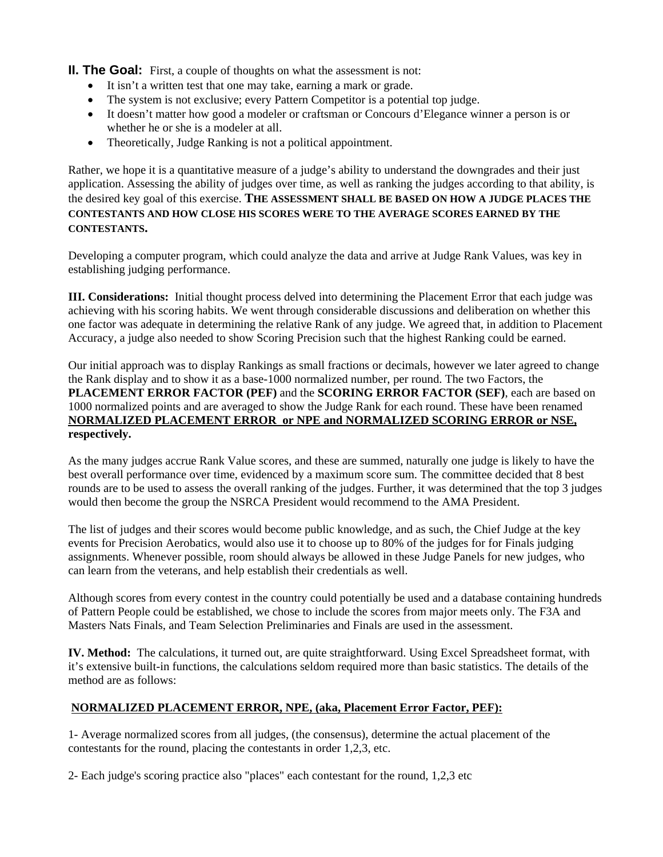**II. The Goal:** First, a couple of thoughts on what the assessment is not:

- It isn't a written test that one may take, earning a mark or grade.
- The system is not exclusive; every Pattern Competitor is a potential top judge.
- It doesn't matter how good a modeler or craftsman or Concours d'Elegance winner a person is or whether he or she is a modeler at all.
- Theoretically, Judge Ranking is not a political appointment.

Rather, we hope it is a quantitative measure of a judge's ability to understand the downgrades and their just application. Assessing the ability of judges over time, as well as ranking the judges according to that ability, is the desired key goal of this exercise. **THE ASSESSMENT SHALL BE BASED ON HOW A JUDGE PLACES THE CONTESTANTS AND HOW CLOSE HIS SCORES WERE TO THE AVERAGE SCORES EARNED BY THE CONTESTANTS.** 

Developing a computer program, which could analyze the data and arrive at Judge Rank Values, was key in establishing judging performance.

**III. Considerations:** Initial thought process delved into determining the Placement Error that each judge was achieving with his scoring habits. We went through considerable discussions and deliberation on whether this one factor was adequate in determining the relative Rank of any judge. We agreed that, in addition to Placement Accuracy, a judge also needed to show Scoring Precision such that the highest Ranking could be earned.

Our initial approach was to display Rankings as small fractions or decimals, however we later agreed to change the Rank display and to show it as a base-1000 normalized number, per round. The two Factors, the **PLACEMENT ERROR FACTOR (PEF)** and the **SCORING ERROR FACTOR (SEF)**, each are based on 1000 normalized points and are averaged to show the Judge Rank for each round. These have been renamed **NORMALIZED PLACEMENT ERROR or NPE and NORMALIZED SCORING ERROR or NSE, respectively.**

As the many judges accrue Rank Value scores, and these are summed, naturally one judge is likely to have the best overall performance over time, evidenced by a maximum score sum. The committee decided that 8 best rounds are to be used to assess the overall ranking of the judges. Further, it was determined that the top 3 judges would then become the group the NSRCA President would recommend to the AMA President.

The list of judges and their scores would become public knowledge, and as such, the Chief Judge at the key events for Precision Aerobatics, would also use it to choose up to 80% of the judges for for Finals judging assignments. Whenever possible, room should always be allowed in these Judge Panels for new judges, who can learn from the veterans, and help establish their credentials as well.

Although scores from every contest in the country could potentially be used and a database containing hundreds of Pattern People could be established, we chose to include the scores from major meets only. The F3A and Masters Nats Finals, and Team Selection Preliminaries and Finals are used in the assessment.

**IV. Method:** The calculations, it turned out, are quite straightforward. Using Excel Spreadsheet format, with it's extensive built-in functions, the calculations seldom required more than basic statistics. The details of the method are as follows:

# **NORMALIZED PLACEMENT ERROR, NPE, (aka, Placement Error Factor, PEF):**

1- Average normalized scores from all judges, (the consensus), determine the actual placement of the contestants for the round, placing the contestants in order 1,2,3, etc.

2- Each judge's scoring practice also "places" each contestant for the round, 1,2,3 etc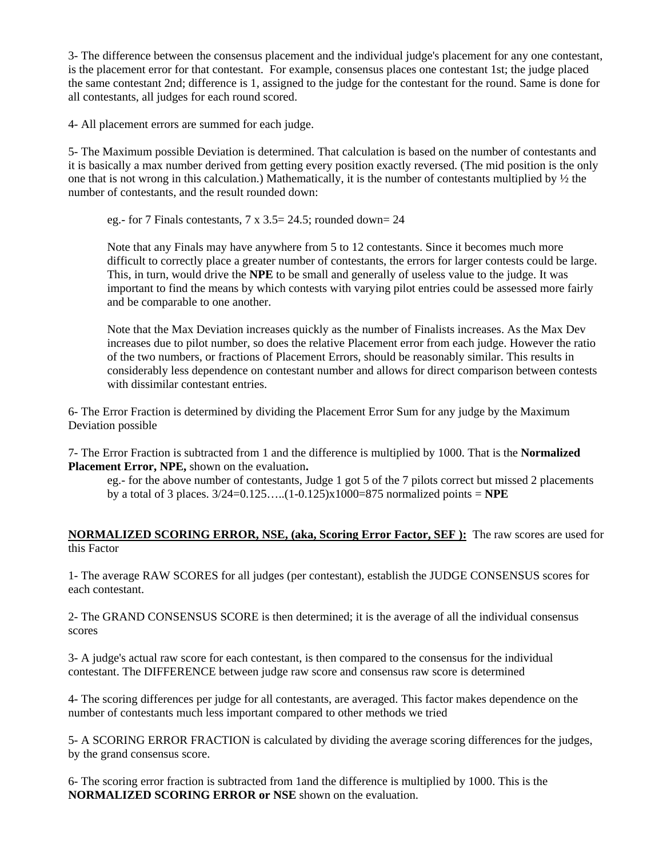3- The difference between the consensus placement and the individual judge's placement for any one contestant, is the placement error for that contestant. For example, consensus places one contestant 1st; the judge placed the same contestant 2nd; difference is 1, assigned to the judge for the contestant for the round. Same is done for all contestants, all judges for each round scored.

4- All placement errors are summed for each judge.

5- The Maximum possible Deviation is determined. That calculation is based on the number of contestants and it is basically a max number derived from getting every position exactly reversed. (The mid position is the only one that is not wrong in this calculation.) Mathematically, it is the number of contestants multiplied by ½ the number of contestants, and the result rounded down:

eg.- for 7 Finals contestants, 7 x 3.5= 24.5; rounded down= 24

Note that any Finals may have anywhere from 5 to 12 contestants. Since it becomes much more difficult to correctly place a greater number of contestants, the errors for larger contests could be large. This, in turn, would drive the **NPE** to be small and generally of useless value to the judge. It was important to find the means by which contests with varying pilot entries could be assessed more fairly and be comparable to one another.

Note that the Max Deviation increases quickly as the number of Finalists increases. As the Max Dev increases due to pilot number, so does the relative Placement error from each judge. However the ratio of the two numbers, or fractions of Placement Errors, should be reasonably similar. This results in considerably less dependence on contestant number and allows for direct comparison between contests with dissimilar contestant entries.

6- The Error Fraction is determined by dividing the Placement Error Sum for any judge by the Maximum Deviation possible

7- The Error Fraction is subtracted from 1 and the difference is multiplied by 1000. That is the **Normalized Placement Error, NPE,** shown on the evaluation**.**

eg.- for the above number of contestants, Judge 1 got 5 of the 7 pilots correct but missed 2 placements by a total of 3 places. 3/24=0.125…..(1-0.125)x1000=875 normalized points = **NPE**

### **NORMALIZED SCORING ERROR, NSE, (aka, Scoring Error Factor, SEF ):** The raw scores are used for this Factor

1- The average RAW SCORES for all judges (per contestant), establish the JUDGE CONSENSUS scores for each contestant.

2- The GRAND CONSENSUS SCORE is then determined; it is the average of all the individual consensus scores

3- A judge's actual raw score for each contestant, is then compared to the consensus for the individual contestant. The DIFFERENCE between judge raw score and consensus raw score is determined

4- The scoring differences per judge for all contestants, are averaged. This factor makes dependence on the number of contestants much less important compared to other methods we tried

5- A SCORING ERROR FRACTION is calculated by dividing the average scoring differences for the judges, by the grand consensus score.

6- The scoring error fraction is subtracted from 1and the difference is multiplied by 1000. This is the **NORMALIZED SCORING ERROR or NSE** shown on the evaluation.